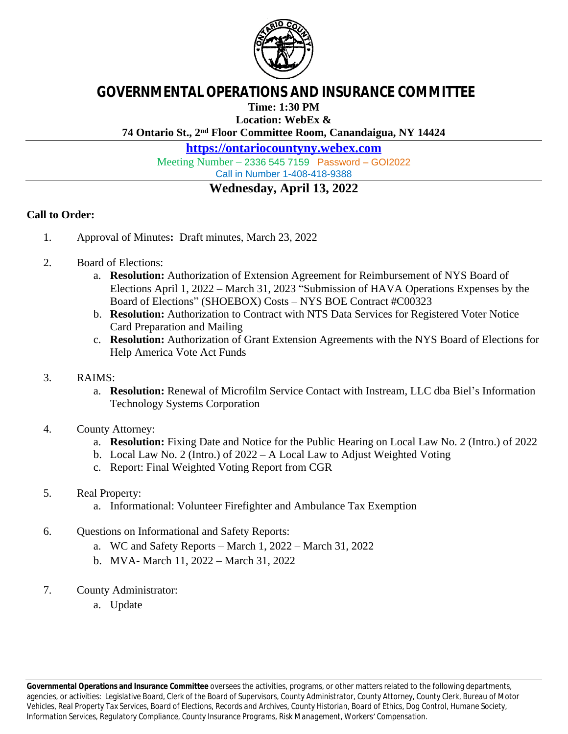

## **GOVERNMENTAL OPERATIONS AND INSURANCE COMMITTEE**

**Time: 1:30 PM**

**Location: WebEx &**

**74 Ontario St., 2nd Floor Committee Room, Canandaigua, NY 14424**

**<https://ontariocountyny.webex.com>**

Meeting Number – 2336 545 7159 Password – GOI2022

Call in Number 1-408-418-9388

## **Wednesday, April 13, 2022**

## **Call to Order:**

- 1. Approval of Minutes**:** Draft minutes, March 23, 2022
- 2. Board of Elections:
	- a. **Resolution:** Authorization of Extension Agreement for Reimbursement of NYS Board of Elections April 1, 2022 – March 31, 2023 "Submission of HAVA Operations Expenses by the Board of Elections" (SHOEBOX) Costs – NYS BOE Contract #C00323
	- b. **Resolution:** Authorization to Contract with NTS Data Services for Registered Voter Notice Card Preparation and Mailing
	- c. **Resolution:** Authorization of Grant Extension Agreements with the NYS Board of Elections for Help America Vote Act Funds
- 3. RAIMS:
	- a. **Resolution:** Renewal of Microfilm Service Contact with Instream, LLC dba Biel's Information Technology Systems Corporation
- 4. County Attorney:
	- a. **Resolution:** Fixing Date and Notice for the Public Hearing on Local Law No. 2 (Intro.) of 2022
	- b. Local Law No. 2 (Intro.) of 2022 A Local Law to Adjust Weighted Voting
	- c. Report: Final Weighted Voting Report from CGR
- 5. Real Property:
	- a. Informational: Volunteer Firefighter and Ambulance Tax Exemption
- 6. Questions on Informational and Safety Reports:
	- a. WC and Safety Reports March 1, 2022 March 31, 2022
	- b. MVA- March 11, 2022 March 31, 2022
- 7. County Administrator:
	- a. Update